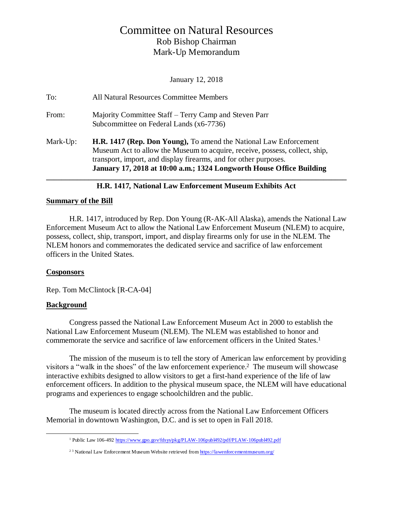# Committee on Natural Resources Rob Bishop Chairman Mark-Up Memorandum

January 12, 2018

| To:      | <b>All Natural Resources Committee Members</b>                                                                                                                                                                                                                                               |
|----------|----------------------------------------------------------------------------------------------------------------------------------------------------------------------------------------------------------------------------------------------------------------------------------------------|
| From:    | Majority Committee Staff – Terry Camp and Steven Parr<br>Subcommittee on Federal Lands (x6-7736)                                                                                                                                                                                             |
| Mark-Up: | H.R. 1417 (Rep. Don Young), To amend the National Law Enforcement<br>Museum Act to allow the Museum to acquire, receive, possess, collect, ship,<br>transport, import, and display firearms, and for other purposes.<br>January 17, 2018 at 10:00 a.m.; 1324 Longworth House Office Building |

## **H.R. 1417***,* **National Law Enforcement Museum Exhibits Act**

### **Summary of the Bill**

H.R. 1417, introduced by Rep. Don Young (R-AK-All Alaska), amends the National Law Enforcement Museum Act to allow the National Law Enforcement Museum (NLEM) to acquire, possess, collect, ship, transport, import, and display firearms only for use in the NLEM. The NLEM honors and commemorates the dedicated service and sacrifice of law enforcement officers in the United States.

#### **Cosponsors**

Rep. Tom McClintock [R-CA-04]

#### **Background**

 $\overline{a}$ 

Congress passed the National Law Enforcement Museum Act in 2000 to establish the National Law Enforcement Museum (NLEM). The NLEM was established to honor and commemorate the service and sacrifice of law enforcement officers in the United States.<sup>1</sup>

The mission of the museum is to tell the story of American law enforcement by providing visitors a "walk in the shoes" of the law enforcement experience.<sup>2</sup> The museum will showcase interactive exhibits designed to allow visitors to get a first-hand experience of the life of law enforcement officers. In addition to the physical museum space, the NLEM will have educational programs and experiences to engage schoolchildren and the public.

The museum is located directly across from the National Law Enforcement Officers Memorial in downtown Washington, D.C. and is set to open in Fall 2018.

<sup>&</sup>lt;sup>1</sup> Public Law 106-492 <https://www.gpo.gov/fdsys/pkg/PLAW-106publ492/pdf/PLAW-106publ492.pdf>

<sup>&</sup>lt;sup>23</sup> National Law Enforcement Museum Website retrieved fro[m https://lawenforcementmuseum.org/](https://lawenforcementmuseum.org/)